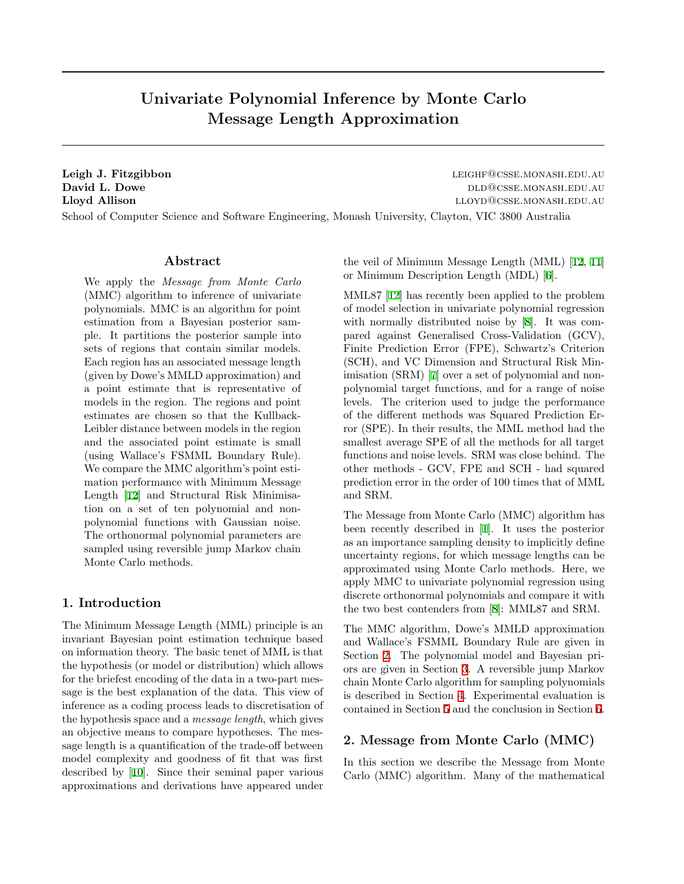# Univariate Polynomial Inference by Monte Carlo Message Length Approximation

Leigh J. Fitzgibbon leight of the left of the left of the left of the left of the left of the left of the left of the left of the left of the left of the left of the left of the left of the left of the left of the left of David L. Dowe DLD@CSSE.MONASH.EDU.AU Lloyd Allison lloyd Allison lloyd Allison lloyd Allison lloyd Allison lloyd Allison lloyd Allison lloyd Allison

School of Computer Science and Software Engineering, Monash University, Clayton, VIC 3800 Australia

## Abstract

We apply the Message from Monte Carlo (MMC) algorithm to inference of univariate polynomials. MMC is an algorithm for point estimation from a Bayesian posterior sample. It partitions the posterior sample into sets of regions that contain similar models. Each region has an associated message length (given by Dowe's MMLD approximation) and a point estimate that is representative of models in the region. The regions and point estimates are chosen so that the Kullback-Leibler distance between models in the region and the associated point estimate is small (using Wallace's FSMML Boundary Rule). We compare the MMC algorithm's point estimation performance with Minimum Message Length[[12\]](#page-7-0) and Structural Risk Minimisation on a set of ten polynomial and nonpolynomial functions with Gaussian noise. The orthonormal polynomial parameters are sampled using reversible jump Markov chain Monte Carlo methods.

## 1. Introduction

The Minimum Message Length (MML) principle is an invariant Bayesian point estimation technique based on information theory. The basic tenet of MML is that the hypothesis (or model or distribution) which allows for the briefest encoding of the data in a two-part message is the best explanation of the data. This view of inference as a coding process leads to discretisation of the hypothesis space and a message length, which gives an objective means to compare hypotheses. The message length is a quantification of the trade-off between model complexity and goodness of fit that was first described by [\[10](#page-7-1)]. Since their seminal paper various approximations and derivations have appeared under

the veil of Minimum Message Length (MML) [\[12](#page-7-0), [11\]](#page-7-2) or Minimum Description Length (MDL)[[6\]](#page-7-3).

MML87[[12\]](#page-7-0) has recently been applied to the problem of model selection in univariate polynomial regression with normally distributed noise by [\[8\]](#page-7-4). It was compared against Generalised Cross-Validation (GCV), Finite Prediction Error (FPE), Schwartz's Criterion (SCH), and VC Dimension and Structural Risk Minimisation (SRM)[[7\]](#page-7-5) over a set of polynomial and nonpolynomial target functions, and for a range of noise levels. The criterion used to judge the performance of the different methods was Squared Prediction Error (SPE). In their results, the MML method had the smallest average SPE of all the methods for all target functions and noise levels. SRM was close behind. The other methods - GCV, FPE and SCH - had squared prediction error in the order of 100 times that of MML and SRM.

The Message from Monte Carlo (MMC) algorithm has been recently described in[[1\]](#page-7-6). It uses the posterior as an importance sampling density to implicitly define uncertainty regions, for which message lengths can be approximated using Monte Carlo methods. Here, we apply MMC to univariate polynomial regression using discrete orthonormal polynomials and compare it with the two best contenders from[[8\]](#page-7-4): MML87 and SRM.

The MMC algorithm, Dowe's MMLD approximation and Wallace's FSMML Boundary Rule are given in Section [2](#page-0-0). The polynomial model and Bayesian priors are given in Section [3.](#page-4-0) A reversible jump Markov chain Monte Carlo algorithm for sampling polynomials is described in Section [4](#page-4-1). Experimental evaluation is contained in Section [5](#page-6-0) and the conclusion in Section [6.](#page-7-7)

## <span id="page-0-0"></span>2. Message from Monte Carlo (MMC)

In this section we describe the Message from Monte Carlo (MMC) algorithm. Many of the mathematical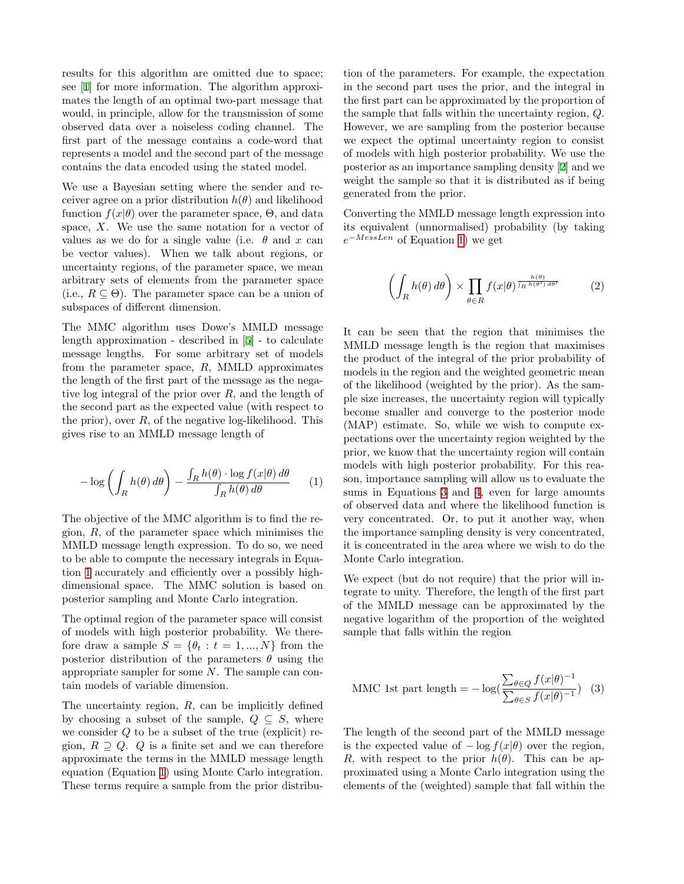results for this algorithm are omitted due to space; see[[1\]](#page-7-6) for more information. The algorithm approximates the length of an optimal two-part message that would, in principle, allow for the transmission of some observed data over a noiseless coding channel. The first part of the message contains a code-word that represents a model and the second part of the message contains the data encoded using the stated model.

We use a Bayesian setting where the sender and receiver agree on a prior distribution  $h(\theta)$  and likelihood function  $f(x|\theta)$  over the parameter space,  $\Theta$ , and data space,  $X$ . We use the same notation for a vector of values as we do for a single value (i.e.  $\theta$  and x can be vector values). When we talk about regions, or uncertainty regions, of the parameter space, we mean arbitrary sets of elements from the parameter space (i.e.,  $R \subseteq \Theta$ ). The parameter space can be a union of subspaces of different dimension.

The MMC algorithm uses Dowe's MMLD message length approximation - described in[[5\]](#page-7-8) - to calculate message lengths. For some arbitrary set of models from the parameter space,  $R$ , MMLD approximates the length of the first part of the message as the negative log integral of the prior over R, and the length of the second part as the expected value (with respect to the prior), over  $R$ , of the negative log-likelihood. This gives rise to an MMLD message length of

<span id="page-1-0"></span>
$$
-\log\left(\int_{R} h(\theta) d\theta\right) - \frac{\int_{R} h(\theta) \cdot \log f(x|\theta) d\theta}{\int_{R} h(\theta) d\theta} \qquad (1)
$$

The objective of the MMC algorithm is to find the region,  $R$ , of the parameter space which minimises the MMLD message length expression. To do so, we need to be able to compute the necessary integrals in Equation [1](#page-1-0) accurately and efficiently over a possibly highdimensional space. The MMC solution is based on posterior sampling and Monte Carlo integration.

The optimal region of the parameter space will consist of models with high posterior probability. We therefore draw a sample  $S = \{\theta_t : t = 1, ..., N\}$  from the posterior distribution of the parameters  $\theta$  using the appropriate sampler for some N. The sample can contain models of variable dimension.

The uncertainty region,  $R$ , can be implicitly defined by choosing a subset of the sample,  $Q \subseteq S$ , where we consider  $Q$  to be a subset of the true (explicit) region,  $R \supset Q$ . Q is a finite set and we can therefore approximate the terms in the MMLD message length equation (Equation [1\)](#page-1-0) using Monte Carlo integration. These terms require a sample from the prior distribu-

tion of the parameters. For example, the expectation in the second part uses the prior, and the integral in the first part can be approximated by the proportion of the sample that falls within the uncertainty region, Q. However, we are sampling from the posterior because we expect the optimal uncertainty region to consist of models with high posterior probability. We use the posterior as an importance sampling density [\[2](#page-7-9)] and we weight the sample so that it is distributed as if being generated from the prior.

Converting the MMLD message length expression into its equivalent (unnormalised) probability (by taking  $e^{-MeissLen}$  of Equation [1](#page-1-0)) we get

$$
\left(\int_{R} h(\theta) \, d\theta\right) \times \prod_{\theta \in R} f(x|\theta)^{\frac{h(\theta)}{\int_{R} h(\theta') \, d\theta'}} \tag{2}
$$

It can be seen that the region that minimises the MMLD message length is the region that maximises the product of the integral of the prior probability of models in the region and the weighted geometric mean of the likelihood (weighted by the prior). As the sample size increases, the uncertainty region will typically become smaller and converge to the posterior mode (MAP) estimate. So, while we wish to compute expectations over the uncertainty region weighted by the prior, we know that the uncertainty region will contain models with high posterior probability. For this reason, importance sampling will allow us to evaluate the sums in Equations [3](#page-1-1) and [4](#page-2-0), even for large amounts of observed data and where the likelihood function is very concentrated. Or, to put it another way, when the importance sampling density is very concentrated, it is concentrated in the area where we wish to do the Monte Carlo integration.

We expect (but do not require) that the prior will integrate to unity. Therefore, the length of the first part of the MMLD message can be approximated by the negative logarithm of the proportion of the weighted sample that falls within the region

<span id="page-1-1"></span>
$$
\text{MMC 1st part length} = -\log\left(\frac{\sum_{\theta \in Q} f(x|\theta)^{-1}}{\sum_{\theta \in S} f(x|\theta)^{-1}}\right) \tag{3}
$$

The length of the second part of the MMLD message is the expected value of  $-\log f(x|\theta)$  over the region, R, with respect to the prior  $h(\theta)$ . This can be approximated using a Monte Carlo integration using the elements of the (weighted) sample that fall within the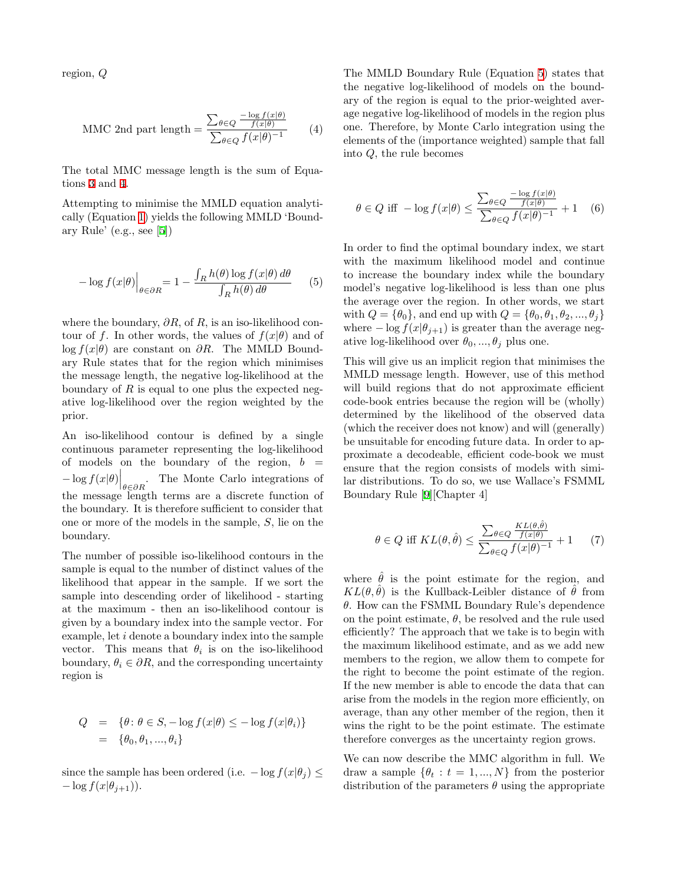<span id="page-2-0"></span>region, Q

$$
\text{MMC 2nd part length} = \frac{\sum_{\theta \in Q} \frac{-\log f(x|\theta)}{f(x|\theta)}}{\sum_{\theta \in Q} f(x|\theta)^{-1}} \tag{4}
$$

The total MMC message length is the sum of Equations [3](#page-1-1) and [4.](#page-2-0)

Attempting to minimise the MMLD equation analytically (Equation [1](#page-1-0)) yields the following MMLD 'Boundary Rule' (e.g., see[[5\]](#page-7-8))

<span id="page-2-1"></span>
$$
-\log f(x|\theta)\Big|_{\theta\in\partial R} = 1 - \frac{\int_R h(\theta)\log f(x|\theta)\,d\theta}{\int_R h(\theta)\,d\theta} \qquad (5)
$$

where the boundary,  $\partial R$ , of R, is an iso-likelihood contour of f. In other words, the values of  $f(x|\theta)$  and of log  $f(x|\theta)$  are constant on  $\partial R$ . The MMLD Boundary Rule states that for the region which minimises the message length, the negative log-likelihood at the boundary of  $R$  is equal to one plus the expected negative log-likelihood over the region weighted by the prior.

An iso-likelihood contour is defined by a single continuous parameter representing the log-likelihood of models on the boundary of the region,  $b =$  $-\log f(x|\theta)\Big|_{\theta\in\partial R}$ . The Monte Carlo integrations of the message length terms are a discrete function of the boundary. It is therefore sufficient to consider that one or more of the models in the sample, S, lie on the boundary.

The number of possible iso-likelihood contours in the sample is equal to the number of distinct values of the likelihood that appear in the sample. If we sort the sample into descending order of likelihood - starting at the maximum - then an iso-likelihood contour is given by a boundary index into the sample vector. For example, let i denote a boundary index into the sample vector. This means that  $\theta_i$  is on the iso-likelihood boundary,  $\theta_i \in \partial R$ , and the corresponding uncertainty region is

$$
Q = \{ \theta \colon \theta \in S, -\log f(x|\theta) \leq -\log f(x|\theta_i) \}
$$
  
=  $\{ \theta_0, \theta_1, ..., \theta_i \}$ 

since the sample has been ordered (i.e.  $-\log f(x|\theta_i) \leq$  $-\log f(x|\theta_{j+1})$ .

The MMLD Boundary Rule (Equation [5\)](#page-2-1) states that the negative log-likelihood of models on the boundary of the region is equal to the prior-weighted average negative log-likelihood of models in the region plus one. Therefore, by Monte Carlo integration using the elements of the (importance weighted) sample that fall into Q, the rule becomes

$$
\theta \in Q \text{ iff } -\log f(x|\theta) \le \frac{\sum_{\theta \in Q} \frac{-\log f(x|\theta)}{f(x|\theta)}}{\sum_{\theta \in Q} f(x|\theta)^{-1}} + 1 \quad (6)
$$

In order to find the optimal boundary index, we start with the maximum likelihood model and continue to increase the boundary index while the boundary model's negative log-likelihood is less than one plus the average over the region. In other words, we start with  $Q = \{\theta_0\}$ , and end up with  $Q = \{\theta_0, \theta_1, \theta_2, ..., \theta_j\}$ where  $-\log f(x|\theta_{j+1})$  is greater than the average negative log-likelihood over  $\theta_0, ..., \theta_j$  plus one.

This will give us an implicit region that minimises the MMLD message length. However, use of this method will build regions that do not approximate efficient code-book entries because the region will be (wholly) determined by the likelihood of the observed data (which the receiver does not know) and will (generally) be unsuitable for encoding future data. In order to approximate a decodeable, efficient code-book we must ensure that the region consists of models with similar distributions. To do so, we use Wallace's FSMML Boundary Rule[[9\]](#page-7-10)[Chapter 4]

$$
\theta \in Q \text{ iff } KL(\theta, \hat{\theta}) \le \frac{\sum_{\theta \in Q} \frac{KL(\theta, \hat{\theta})}{f(x|\theta)}}{\sum_{\theta \in Q} f(x|\theta)^{-1}} + 1 \qquad (7)
$$

where  $\hat{\theta}$  is the point estimate for the region, and  $KL(\theta, \hat{\theta})$  is the Kullback-Leibler distance of  $\hat{\theta}$  from  $\theta$ . How can the FSMML Boundary Rule's dependence on the point estimate,  $\theta$ , be resolved and the rule used efficiently? The approach that we take is to begin with the maximum likelihood estimate, and as we add new members to the region, we allow them to compete for the right to become the point estimate of the region. If the new member is able to encode the data that can arise from the models in the region more efficiently, on average, than any other member of the region, then it wins the right to be the point estimate. The estimate therefore converges as the uncertainty region grows.

We can now describe the MMC algorithm in full. We draw a sample  $\{\theta_t : t = 1, ..., N\}$  from the posterior distribution of the parameters  $\theta$  using the appropriate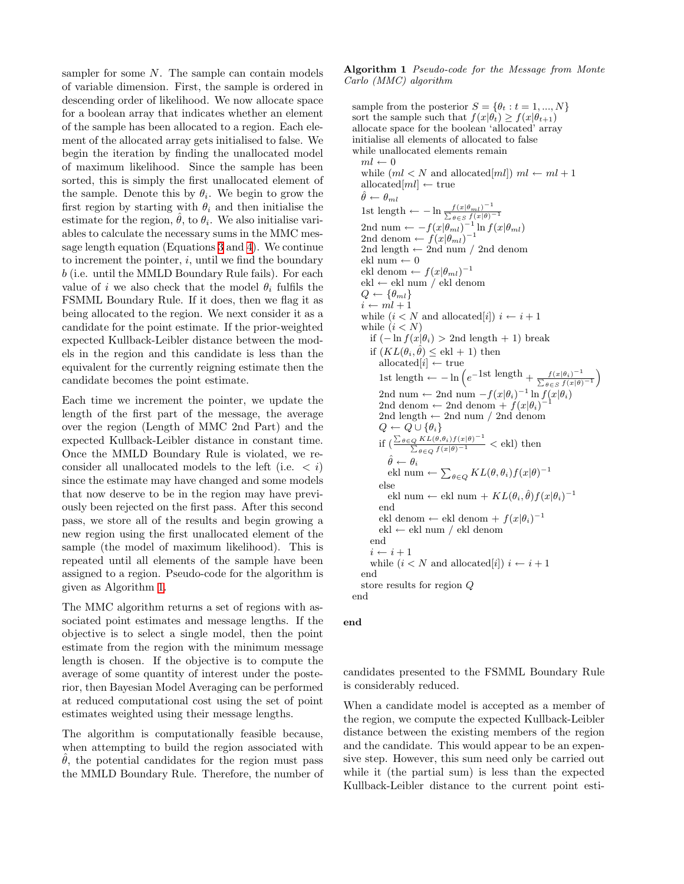sampler for some N. The sample can contain models of variable dimension. First, the sample is ordered in descending order of likelihood. We now allocate space for a boolean array that indicates whether an element of the sample has been allocated to a region. Each element of the allocated array gets initialised to false. We begin the iteration by finding the unallocated model of maximum likelihood. Since the sample has been sorted, this is simply the first unallocated element of the sample. Denote this by  $\theta_i$ . We begin to grow the first region by starting with  $\theta_i$  and then initialise the estimate for the region,  $\hat{\theta}$ , to  $\theta_i$ . We also initialise variables to calculate the necessary sums in the MMC message length equation (Equations [3](#page-1-1) and [4\)](#page-2-0). We continue to increment the pointer,  $i$ , until we find the boundary b (i.e. until the MMLD Boundary Rule fails). For each value of i we also check that the model  $\theta_i$  fulfils the FSMML Boundary Rule. If it does, then we flag it as being allocated to the region. We next consider it as a candidate for the point estimate. If the prior-weighted expected Kullback-Leibler distance between the models in the region and this candidate is less than the equivalent for the currently reigning estimate then the candidate becomes the point estimate.

Each time we increment the pointer, we update the length of the first part of the message, the average over the region (Length of MMC 2nd Part) and the expected Kullback-Leibler distance in constant time. Once the MMLD Boundary Rule is violated, we reconsider all unallocated models to the left (i.e.  $\langle i \rangle$ ) since the estimate may have changed and some models that now deserve to be in the region may have previously been rejected on the first pass. After this second pass, we store all of the results and begin growing a new region using the first unallocated element of the sample (the model of maximum likelihood). This is repeated until all elements of the sample have been assigned to a region. Pseudo-code for the algorithm is given as Algorithm [1.](#page-3-0)

The MMC algorithm returns a set of regions with associated point estimates and message lengths. If the objective is to select a single model, then the point estimate from the region with the minimum message length is chosen. If the objective is to compute the average of some quantity of interest under the posterior, then Bayesian Model Averaging can be performed at reduced computational cost using the set of point estimates weighted using their message lengths.

The algorithm is computationally feasible because, when attempting to build the region associated with  $\ddot{\theta}$ , the potential candidates for the region must pass the MMLD Boundary Rule. Therefore, the number of <span id="page-3-0"></span>Algorithm 1 Pseudo-code for the Message from Monte Carlo (MMC) algorithm

sample from the posterior  $S = \{\theta_t : t = 1, ..., N\}$ sort the sample such that  $f(x|\theta_t) \geq f(x|\theta_{t+1})$ allocate space for the boolean 'allocated' array initialise all elements of allocated to false while unallocated elements remain  $ml \leftarrow 0$ while  $(ml < N$  and allocated[ml])  $ml \leftarrow ml + 1$ allocated $[ml] \leftarrow$  true  $\hat{\theta} \leftarrow \theta_{ml}$ 1st length ←  $-\ln \frac{f(x|\theta_{ml})^{-1}}{\sum_{\theta \in S} f(x|\theta)^{-1}}$ 2nd num  $\leftarrow -f(x|\theta_{ml})^{-1} \ln f(x|\theta_{ml})$ 2nd denom  $\leftarrow f(x|\theta_{ml})^{-1}$ 2nd length  $\leftarrow$  2nd num / 2nd denom ekl num  $\leftarrow 0$ ekl denom  $\leftarrow f(x|\theta_{ml})^{-1}$ ekl ← ekl num / ekl denom  $Q \leftarrow {\theta_{ml}}$  $i \leftarrow ml + 1$ while  $(i < N$  and allocated[i])  $i \leftarrow i + 1$ while  $(i < N)$ if  $(-\ln f(x|\theta_i) > 2$ nd length + 1) break if  $(KL(\theta_i, \hat{\theta}) \leq \text{ekl} + 1)$  then allocated $[i] \leftarrow$  true 1st length ←  $-\ln\left(e^{-1}\frac{\mathrm{st}\log\ln x}{\sum_{\theta\in S}f(x|\theta)^{-1}}\right)$ 2nd num ← 2nd num  $-f(x|\theta_i)^{-1} \ln f(x|\theta_i)$ <br>2nd donom ← 2nd donom +  $f(x|\theta_i)^{-1}$ 2nd denom  $\leftarrow$  2nd denom +  $f(x|\theta_i)$ <sup>-</sup> 2nd length  $\leftarrow$  2nd num / 2nd denom  $Q \leftarrow Q \cup {\theta_i}$ if  $\left(\frac{\sum_{\theta \in Q} KL(\theta, \theta_i) f(x|\theta)^{-1}}{\sum_{\theta \in Q} f(x|\theta)^{-1}} \right)$  < ekl) then  $\hat{\theta} \leftarrow \theta_i$ ekl num  $\leftarrow \sum_{\theta \in Q} KL(\theta, \theta_i) f(x|\theta)^{-1}$ else ekl num ← ekl num +  $KL(\theta_i, \hat{\theta}) f(x|\theta_i)^{-1}$ end ekl denom ← ekl denom +  $f(x|\theta_i)^{-1}$ ekl ← ekl num / ekl denom end  $i \leftarrow i + 1$ while  $(i < N$  and allocated[i])  $i \leftarrow i + 1$ end store results for region Q end

#### end

candidates presented to the FSMML Boundary Rule is considerably reduced.

When a candidate model is accepted as a member of the region, we compute the expected Kullback-Leibler distance between the existing members of the region and the candidate. This would appear to be an expensive step. However, this sum need only be carried out while it (the partial sum) is less than the expected Kullback-Leibler distance to the current point esti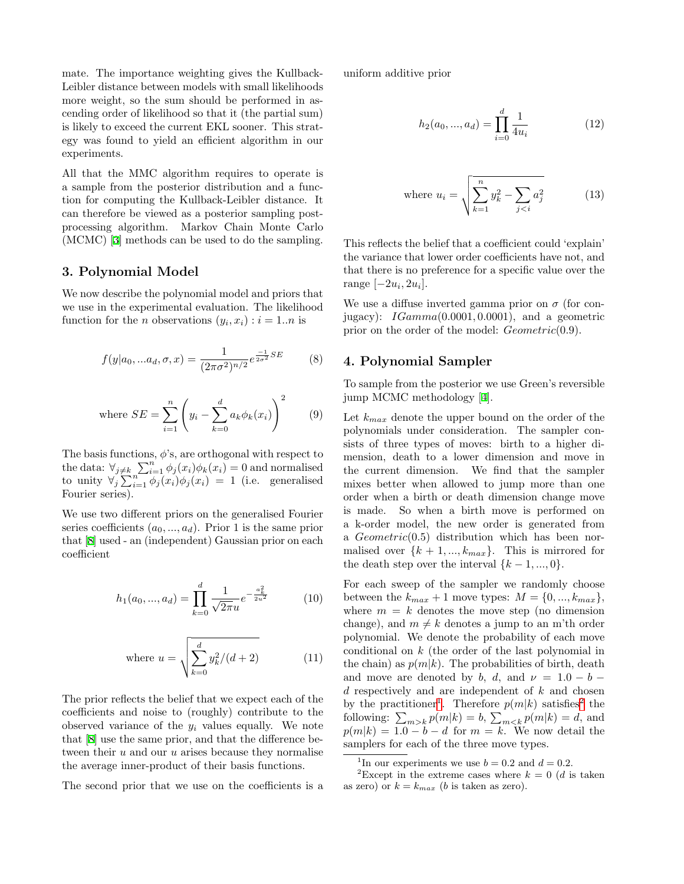mate. The importance weighting gives the Kullback-Leibler distance between models with small likelihoods more weight, so the sum should be performed in ascending order of likelihood so that it (the partial sum) is likely to exceed the current EKL sooner. This strategy was found to yield an efficient algorithm in our experiments.

All that the MMC algorithm requires to operate is a sample from the posterior distribution and a function for computing the Kullback-Leibler distance. It can therefore be viewed as a posterior sampling postprocessing algorithm. Markov Chain Monte Carlo (MCMC)[[3\]](#page-7-11) methods can be used to do the sampling.

## <span id="page-4-0"></span>3. Polynomial Model

We now describe the polynomial model and priors that we use in the experimental evaluation. The likelihood function for the *n* observations  $(y_i, x_i) : i = 1..n$  is

$$
f(y|a_0, ... a_d, \sigma, x) = \frac{1}{(2\pi\sigma^2)^{n/2}} e^{\frac{-1}{2\sigma^2} SE} \tag{8}
$$

where 
$$
SE = \sum_{i=1}^{n} \left( y_i - \sum_{k=0}^{d} a_k \phi_k(x_i) \right)^2
$$
 (9)

The basis functions,  $\phi$ 's, are orthogonal with respect to the data:  $\forall_{j\neq k} \sum_{i=1}^{n} \phi_j(x_i) \phi_k(x_i) = 0$  and normalised to unity  $\forall j \sum_{i=1}^{n} \phi_j(x_i) \phi_j(x_i) = 1$  (i.e. generalised Fourier series).

<span id="page-4-4"></span>We use two different priors on the generalised Fourier series coefficients  $(a_0, ..., a_d)$ . Prior 1 is the same prior that[[8\]](#page-7-4) used - an (independent) Gaussian prior on each coefficient

$$
h_1(a_0, ..., a_d) = \prod_{k=0}^d \frac{1}{\sqrt{2\pi u}} e^{-\frac{a_k^2}{2u^2}} \tag{10}
$$

where 
$$
u = \sqrt{\sum_{k=0}^{d} y_k^2/(d+2)}
$$
 (11)

The prior reflects the belief that we expect each of the coefficients and noise to (roughly) contribute to the observed variance of the  $y_i$  values equally. We note that [\[8](#page-7-4)] use the same prior, and that the difference between their  $u$  and our  $u$  arises because they normalise the average inner-product of their basis functions.

The second prior that we use on the coefficients is a

<span id="page-4-5"></span>uniform additive prior

$$
h_2(a_0, ..., a_d) = \prod_{i=0}^d \frac{1}{4u_i}
$$
 (12)

where 
$$
u_i = \sqrt{\sum_{k=1}^{n} y_k^2 - \sum_{j < i} a_j^2}
$$
 (13)

This reflects the belief that a coefficient could 'explain' the variance that lower order coefficients have not, and that there is no preference for a specific value over the range  $[-2u_i, 2u_i]$ .

We use a diffuse inverted gamma prior on  $\sigma$  (for conjugacy):  $IGamma(0.0001, 0.0001)$ , and a geometric prior on the order of the model:  $Geometric(0.9)$ .

## <span id="page-4-1"></span>4. Polynomial Sampler

To sample from the posterior we use Green's reversible jump MCMC methodology [\[4](#page-7-12)].

Let  $k_{max}$  denote the upper bound on the order of the polynomials under consideration. The sampler consists of three types of moves: birth to a higher dimension, death to a lower dimension and move in the current dimension. We find that the sampler mixes better when allowed to jump more than one order when a birth or death dimension change move is made. So when a birth move is performed on a k-order model, the new order is generated from a  $Geometric(0.5)$  distribution which has been normalised over  $\{k+1, ..., k_{max}\}$ . This is mirrored for the death step over the interval  $\{k-1, ..., 0\}$ .

For each sweep of the sampler we randomly choose between the  $k_{max} + 1$  move types:  $M = \{0, ..., k_{max}\},\$ where  $m = k$  denotes the move step (no dimension change), and  $m \neq k$  denotes a jump to an m'th order polynomial. We denote the probability of each move conditional on k (the order of the last polynomial in the chain) as  $p(m|k)$ . The probabilities of birth, death and move are denoted by b, d, and  $\nu = 1.0 - b$  $d$  respectively and are independent of  $k$  and chosen by the practitioner<sup>[1](#page-4-2)</sup>. Therefore  $p(m|k)$  satisfies<sup>[2](#page-4-3)</sup> the following:  $\sum_{m>k} p(m|k) = b$ ,  $\sum_{m, and$  $p(m|k) = 1.0 - b - d$  for  $m = k$ . We now detail the samplers for each of the three move types.

<span id="page-4-3"></span><span id="page-4-2"></span><sup>&</sup>lt;sup>1</sup>In our experiments we use  $b = 0.2$  and  $d = 0.2$ .

<sup>&</sup>lt;sup>2</sup>Except in the extreme cases where  $k = 0$  (d is taken as zero) or  $k = k_{max}$  (b is taken as zero).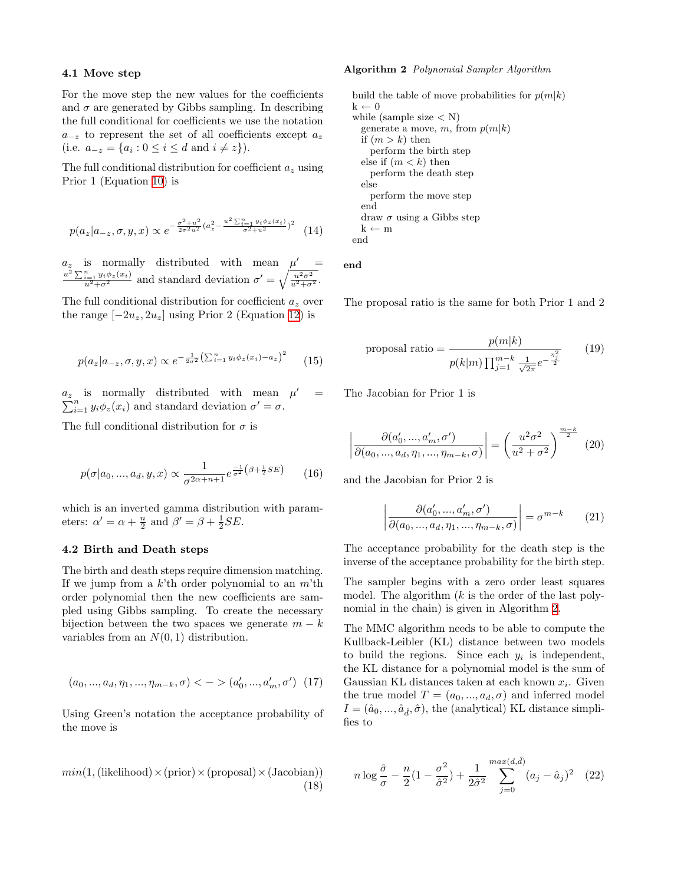#### 4.1 Move step

For the move step the new values for the coefficients and  $\sigma$  are generated by Gibbs sampling. In describing the full conditional for coefficients we use the notation  $a_{-z}$  to represent the set of all coefficients except  $a_z$ (i.e.  $a_{-z} = \{a_i : 0 \le i \le d \text{ and } i \ne z\}.$ 

The full conditional distribution for coefficient  $a_z$  using Prior 1 (Equation [10](#page-4-4)) is

$$
p(a_z|a_{-z}, \sigma, y, x) \propto e^{-\frac{\sigma^2 + u^2}{2\sigma^2 u^2} (a_z^2 - \frac{u^2 \sum_{i=1}^n y_i \phi_z(x_i)}{\sigma^2 + u^2})^2}
$$
 (14)

 $a_z$  is normally distributed with mean  $\mu'$  =  $rac{u^2 \sum_{i=1}^n y_i \phi_z(x_i)}{u^2 + \sigma^2}$  and standard deviation  $\sigma' = \sqrt{\frac{u^2 \sigma^2}{u^2 + \sigma^2}}$ .

The full conditional distribution for coefficient  $a_z$  over the range  $[-2u_z, 2u_z]$  using Prior 2 (Equation [12](#page-4-5)) is

$$
p(a_z|a_{-z}, \sigma, y, x) \propto e^{-\frac{1}{2\sigma^2} (\sum_{i=1}^n y_i \phi_z(x_i) - a_z)^2}
$$
 (15)

 $a_z$  is normally distributed with mean  $\mu$  $\sum$ is normally distributed with mean  $\mu' = \sum_{i=1}^{n} y_i \phi_z(x_i)$  and standard deviation  $\sigma' = \sigma$ .

The full conditional distribution for  $\sigma$  is

$$
p(\sigma|a_0, ..., a_d, y, x) \propto \frac{1}{\sigma^{2\alpha + n + 1}} e^{\frac{-1}{\sigma^2} (\beta + \frac{1}{2} SE)} \qquad (16)
$$

which is an inverted gamma distribution with parameters:  $\alpha' = \alpha + \frac{n}{2}$  and  $\beta' = \beta + \frac{1}{2}SE$ .

#### 4.2 Birth and Death steps

The birth and death steps require dimension matching. If we jump from a  $k$ <sup>th</sup> order polynomial to an  $m$ <sup>th</sup> order polynomial then the new coefficients are sampled using Gibbs sampling. To create the necessary bijection between the two spaces we generate  $m - k$ variables from an  $N(0, 1)$  distribution.

$$
(a_0,...,a_d,\eta_1,...,\eta_{m-k},\sigma) < ->(a_0',...,a_m',\sigma') \ \ (17)
$$

Using Green's notation the acceptance probability of the move is

 $min(1, (likelihood) \times (prior) \times (proposal) \times (Jacobian))$ (18)

#### <span id="page-5-0"></span>Algorithm 2 Polynomial Sampler Algorithm

build the table of move probabilities for  $p(m|k)$  $k \leftarrow 0$ while (sample size  $\langle N \rangle$ ) generate a move, m, from  $p(m|k)$ if  $(m > k)$  then perform the birth step else if  $(m < k)$  then perform the death step else perform the move step end draw  $\sigma$  using a Gibbs step  $k \leftarrow m$ end

end

The proposal ratio is the same for both Prior 1 and 2

proposal ratio =

\n
$$
\frac{p(m|k)}{p(k|m)\prod_{j=1}^{m-k}\frac{1}{\sqrt{2\pi}}e^{-\frac{\eta_j^2}{2}}}
$$
\n(19)

The Jacobian for Prior 1 is

$$
\left| \frac{\partial (a'_0, ..., a'_m, \sigma')}{\partial (a_0, ..., a_d, \eta_1, ..., \eta_{m-k}, \sigma)} \right| = \left( \frac{u^2 \sigma^2}{u^2 + \sigma^2} \right)^{\frac{m-k}{2}} (20)
$$

and the Jacobian for Prior 2 is

$$
\left| \frac{\partial (a'_0, ..., a'_m, \sigma')}{\partial (a_0, ..., a_d, \eta_1, ..., \eta_{m-k}, \sigma)} \right| = \sigma^{m-k} \qquad (21)
$$

The acceptance probability for the death step is the inverse of the acceptance probability for the birth step.

The sampler begins with a zero order least squares model. The algorithm  $(k$  is the order of the last polynomial in the chain) is given in Algorithm [2.](#page-5-0)

The MMC algorithm needs to be able to compute the Kullback-Leibler (KL) distance between two models to build the regions. Since each  $y_i$  is independent, the KL distance for a polynomial model is the sum of Gaussian KL distances taken at each known  $x_i$ . Given the true model  $T = (a_0, ..., a_d, \sigma)$  and inferred model  $I = (\hat{a}_0, ..., \hat{a}_{\hat{d}}, \hat{\sigma})$ , the (analytical) KL distance simplifies to

$$
n \log \frac{\hat{\sigma}}{\sigma} - \frac{n}{2} \left( 1 - \frac{\sigma^2}{\hat{\sigma}^2} \right) + \frac{1}{2\hat{\sigma}^2} \sum_{j=0}^{\max(d, \hat{d})} (a_j - \hat{a}_j)^2 \quad (22)
$$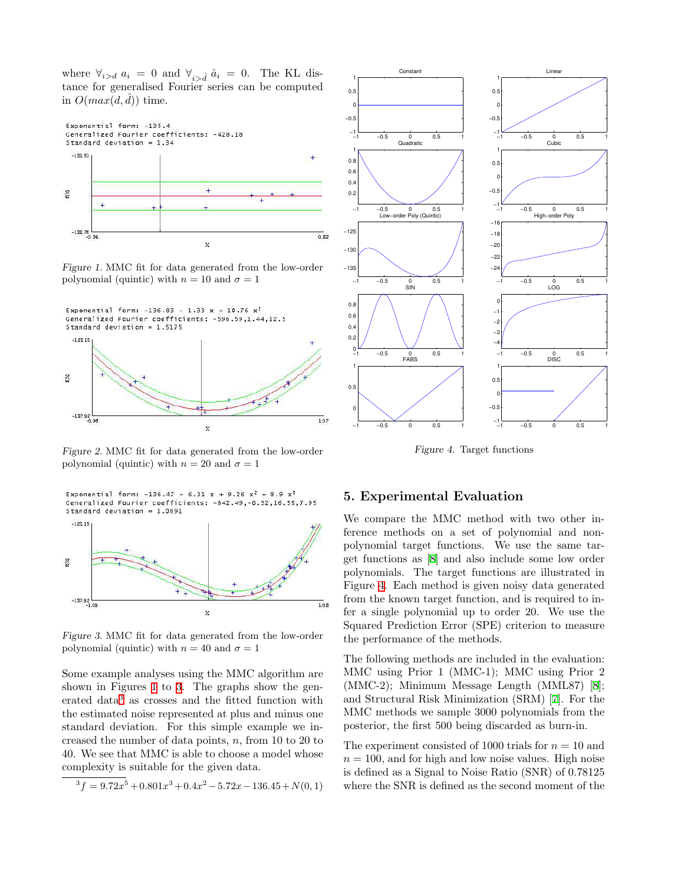where  $\forall_{i>d} a_i = 0$  and  $\forall_{i \geq \hat{d}} \hat{a}_i = 0$ . The KL distance for generalised Fourier series can be computed in  $O(max(d, d))$  time.



<span id="page-6-1"></span>Figure 1. MMC fit for data generated from the low-order polynomial (quintic) with  $n = 10$  and  $\sigma = 1$ 



Figure 2. MMC fit for data generated from the low-order polynomial (quintic) with  $n = 20$  and  $\sigma = 1$ 

Exponential form: -136.47 - 6.31 x + 9.26  $x^2$  + 8.9  $x^3$ Generalized Fourier coefficients: -842.49,-0.32,16.55,7.95 Standard deviation =  $1.0891$ 



<span id="page-6-2"></span>Figure 3. MMC fit for data generated from the low-order polynomial (quintic) with  $n = 40$  and  $\sigma = 1$ 

Some example analyses using the MMC algorithm are shown in Figures [1](#page-6-1) to [3.](#page-6-2) The graphs show the generated data[3](#page-6-3) as crosses and the fitted function with the estimated noise represented at plus and minus one standard deviation. For this simple example we increased the number of data points,  $n$ , from 10 to 20 to 40. We see that MMC is able to choose a model whose complexity is suitable for the given data.

<span id="page-6-3"></span>
$$
{}^{3}f=9.72x^{5}+0.801x^{3}+0.4x^{2}-5.72x-136.45+N(0,1)
$$



<span id="page-6-4"></span>Figure 4. Target functions

# <span id="page-6-0"></span>5. Experimental Evaluation

We compare the MMC method with two other inference methods on a set of polynomial and nonpolynomial target functions. We use the same target functions as [\[8\]](#page-7-4) and also include some low order polynomials. The target functions are illustrated in Figure [4](#page-6-4). Each method is given noisy data generated from the known target function, and is required to infer a single polynomial up to order 20. We use the Squared Prediction Error (SPE) criterion to measure the performance of the methods.

The following methods are included in the evaluation: MMC using Prior 1 (MMC-1); MMC using Prior 2 (MMC-2); Minimum Message Length (MML87)[[8\]](#page-7-4); and Structural Risk Minimization (SRM) [\[7](#page-7-5)]. For the MMC methods we sample 3000 polynomials from the posterior, the first 500 being discarded as burn-in.

The experiment consisted of 1000 trials for  $n = 10$  and  $n = 100$ , and for high and low noise values. High noise is defined as a Signal to Noise Ratio (SNR) of 0.78125 where the SNR is defined as the second moment of the